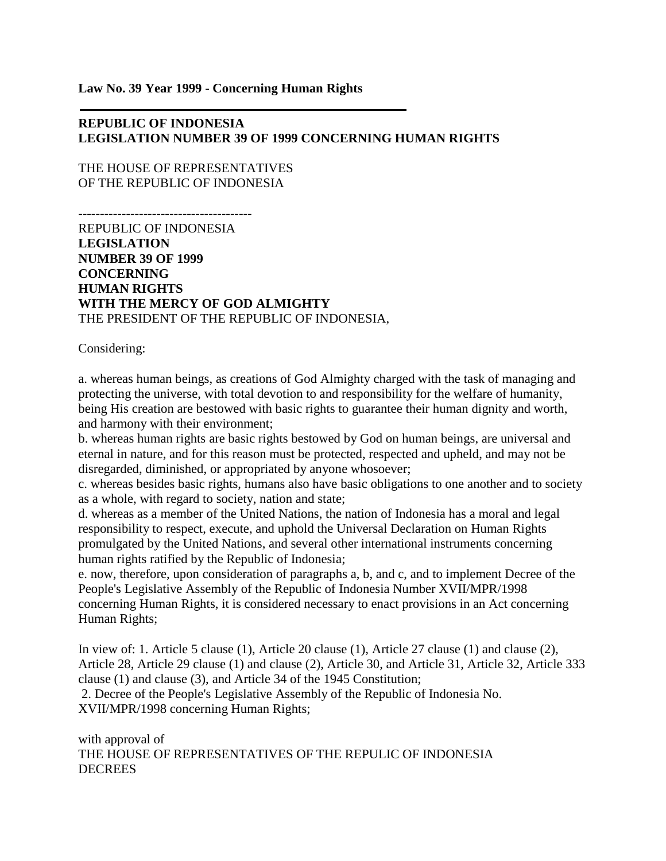**Law No. 39 Year 1999 - Concerning Human Rights**

## **REPUBLIC OF INDONESIA LEGISLATION NUMBER 39 OF 1999 CONCERNING HUMAN RIGHTS**

THE HOUSE OF REPRESENTATIVES OF THE REPUBLIC OF INDONESIA

----------------------------------------

REPUBLIC OF INDONESIA **LEGISLATION NUMBER 39 OF 1999 CONCERNING HUMAN RIGHTS WITH THE MERCY OF GOD ALMIGHTY** THE PRESIDENT OF THE REPUBLIC OF INDONESIA,

Considering:

a. whereas human beings, as creations of God Almighty charged with the task of managing and protecting the universe, with total devotion to and responsibility for the welfare of humanity, being His creation are bestowed with basic rights to guarantee their human dignity and worth, and harmony with their environment;

b. whereas human rights are basic rights bestowed by God on human beings, are universal and eternal in nature, and for this reason must be protected, respected and upheld, and may not be disregarded, diminished, or appropriated by anyone whosoever;

c. whereas besides basic rights, humans also have basic obligations to one another and to society as a whole, with regard to society, nation and state;

d. whereas as a member of the United Nations, the nation of Indonesia has a moral and legal responsibility to respect, execute, and uphold the Universal Declaration on Human Rights promulgated by the United Nations, and several other international instruments concerning human rights ratified by the Republic of Indonesia;

e. now, therefore, upon consideration of paragraphs a, b, and c, and to implement Decree of the People's Legislative Assembly of the Republic of Indonesia Number XVII/MPR/1998 concerning Human Rights, it is considered necessary to enact provisions in an Act concerning Human Rights;

In view of: 1. Article 5 clause (1), Article 20 clause (1), Article 27 clause (1) and clause (2), Article 28, Article 29 clause (1) and clause (2), Article 30, and Article 31, Article 32, Article 333 clause (1) and clause (3), and Article 34 of the 1945 Constitution; 2. Decree of the People's Legislative Assembly of the Republic of Indonesia No.

XVII/MPR/1998 concerning Human Rights;

with approval of THE HOUSE OF REPRESENTATIVES OF THE REPULIC OF INDONESIA **DECREES**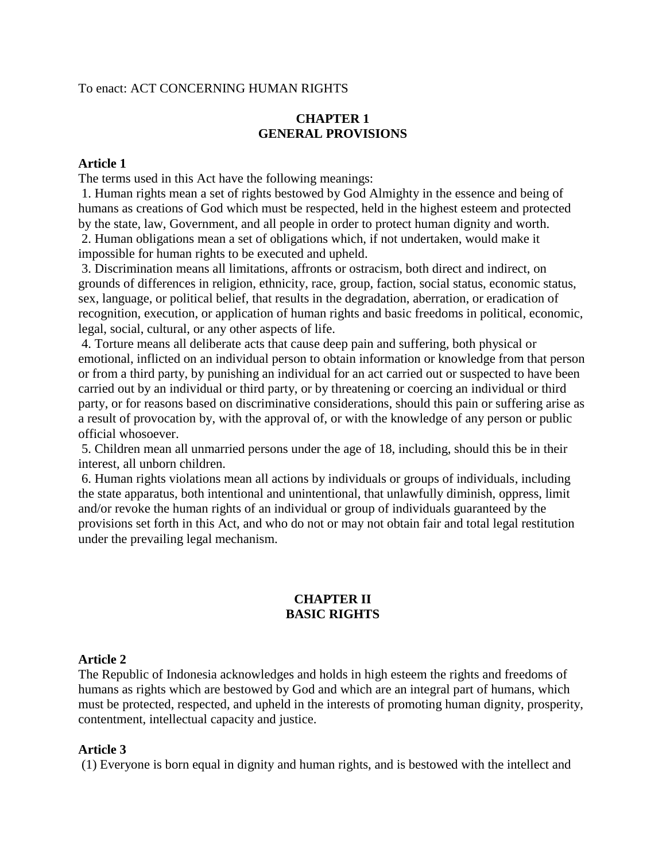#### To enact: ACT CONCERNING HUMAN RIGHTS

#### **CHAPTER 1 GENERAL PROVISIONS**

#### **Article 1**

The terms used in this Act have the following meanings:

1. Human rights mean a set of rights bestowed by God Almighty in the essence and being of humans as creations of God which must be respected, held in the highest esteem and protected by the state, law, Government, and all people in order to protect human dignity and worth.

2. Human obligations mean a set of obligations which, if not undertaken, would make it impossible for human rights to be executed and upheld.

3. Discrimination means all limitations, affronts or ostracism, both direct and indirect, on grounds of differences in religion, ethnicity, race, group, faction, social status, economic status, sex, language, or political belief, that results in the degradation, aberration, or eradication of recognition, execution, or application of human rights and basic freedoms in political, economic, legal, social, cultural, or any other aspects of life.

4. Torture means all deliberate acts that cause deep pain and suffering, both physical or emotional, inflicted on an individual person to obtain information or knowledge from that person or from a third party, by punishing an individual for an act carried out or suspected to have been carried out by an individual or third party, or by threatening or coercing an individual or third party, or for reasons based on discriminative considerations, should this pain or suffering arise as a result of provocation by, with the approval of, or with the knowledge of any person or public official whosoever.

5. Children mean all unmarried persons under the age of 18, including, should this be in their interest, all unborn children.

6. Human rights violations mean all actions by individuals or groups of individuals, including the state apparatus, both intentional and unintentional, that unlawfully diminish, oppress, limit and/or revoke the human rights of an individual or group of individuals guaranteed by the provisions set forth in this Act, and who do not or may not obtain fair and total legal restitution under the prevailing legal mechanism.

## **CHAPTER II BASIC RIGHTS**

#### **Article 2**

The Republic of Indonesia acknowledges and holds in high esteem the rights and freedoms of humans as rights which are bestowed by God and which are an integral part of humans, which must be protected, respected, and upheld in the interests of promoting human dignity, prosperity, contentment, intellectual capacity and justice.

### **Article 3**

(1) Everyone is born equal in dignity and human rights, and is bestowed with the intellect and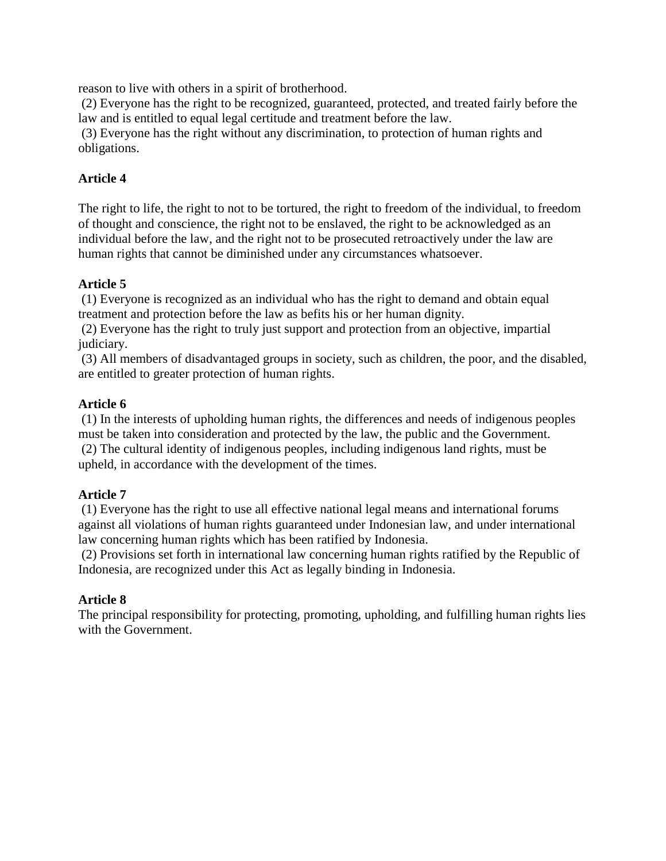reason to live with others in a spirit of brotherhood.

(2) Everyone has the right to be recognized, guaranteed, protected, and treated fairly before the law and is entitled to equal legal certitude and treatment before the law.

(3) Everyone has the right without any discrimination, to protection of human rights and obligations.

## **Article 4**

The right to life, the right to not to be tortured, the right to freedom of the individual, to freedom of thought and conscience, the right not to be enslaved, the right to be acknowledged as an individual before the law, and the right not to be prosecuted retroactively under the law are human rights that cannot be diminished under any circumstances whatsoever.

## **Article 5**

(1) Everyone is recognized as an individual who has the right to demand and obtain equal treatment and protection before the law as befits his or her human dignity.

(2) Everyone has the right to truly just support and protection from an objective, impartial judiciary.

(3) All members of disadvantaged groups in society, such as children, the poor, and the disabled, are entitled to greater protection of human rights.

### **Article 6**

(1) In the interests of upholding human rights, the differences and needs of indigenous peoples must be taken into consideration and protected by the law, the public and the Government. (2) The cultural identity of indigenous peoples, including indigenous land rights, must be upheld, in accordance with the development of the times.

## **Article 7**

(1) Everyone has the right to use all effective national legal means and international forums against all violations of human rights guaranteed under Indonesian law, and under international law concerning human rights which has been ratified by Indonesia.

(2) Provisions set forth in international law concerning human rights ratified by the Republic of Indonesia, are recognized under this Act as legally binding in Indonesia.

#### **Article 8**

The principal responsibility for protecting, promoting, upholding, and fulfilling human rights lies with the Government.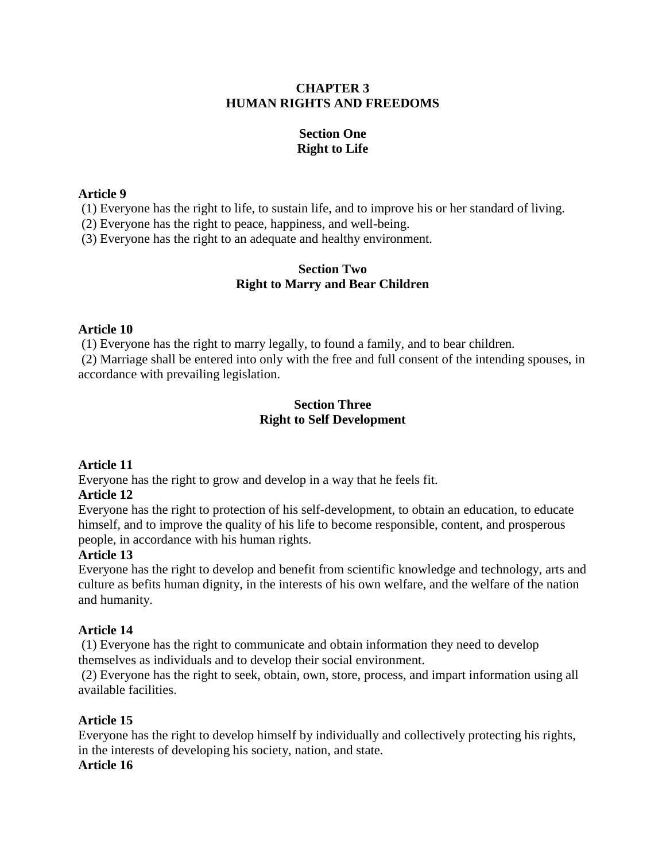## **CHAPTER 3 HUMAN RIGHTS AND FREEDOMS**

# **Section One Right to Life**

### **Article 9**

(1) Everyone has the right to life, to sustain life, and to improve his or her standard of living.

(2) Everyone has the right to peace, happiness, and well-being.

(3) Everyone has the right to an adequate and healthy environment.

## **Section Two Right to Marry and Bear Children**

## **Article 10**

(1) Everyone has the right to marry legally, to found a family, and to bear children.

(2) Marriage shall be entered into only with the free and full consent of the intending spouses, in accordance with prevailing legislation.

### **Section Three Right to Self Development**

# **Article 11**

Everyone has the right to grow and develop in a way that he feels fit.

## **Article 12**

Everyone has the right to protection of his self-development, to obtain an education, to educate himself, and to improve the quality of his life to become responsible, content, and prosperous people, in accordance with his human rights.

## **Article 13**

Everyone has the right to develop and benefit from scientific knowledge and technology, arts and culture as befits human dignity, in the interests of his own welfare, and the welfare of the nation and humanity.

## **Article 14**

(1) Everyone has the right to communicate and obtain information they need to develop themselves as individuals and to develop their social environment.

(2) Everyone has the right to seek, obtain, own, store, process, and impart information using all available facilities.

## **Article 15**

Everyone has the right to develop himself by individually and collectively protecting his rights, in the interests of developing his society, nation, and state.

## **Article 16**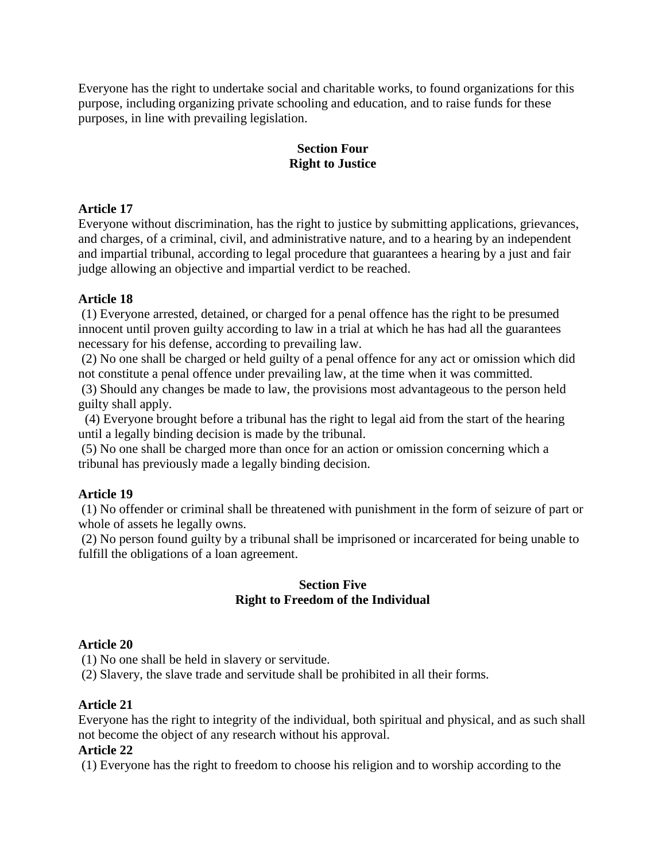Everyone has the right to undertake social and charitable works, to found organizations for this purpose, including organizing private schooling and education, and to raise funds for these purposes, in line with prevailing legislation.

### **Section Four Right to Justice**

### **Article 17**

Everyone without discrimination, has the right to justice by submitting applications, grievances, and charges, of a criminal, civil, and administrative nature, and to a hearing by an independent and impartial tribunal, according to legal procedure that guarantees a hearing by a just and fair judge allowing an objective and impartial verdict to be reached.

#### **Article 18**

(1) Everyone arrested, detained, or charged for a penal offence has the right to be presumed innocent until proven guilty according to law in a trial at which he has had all the guarantees necessary for his defense, according to prevailing law.

(2) No one shall be charged or held guilty of a penal offence for any act or omission which did not constitute a penal offence under prevailing law, at the time when it was committed.

(3) Should any changes be made to law, the provisions most advantageous to the person held guilty shall apply.

 (4) Everyone brought before a tribunal has the right to legal aid from the start of the hearing until a legally binding decision is made by the tribunal.

(5) No one shall be charged more than once for an action or omission concerning which a tribunal has previously made a legally binding decision.

## **Article 19**

(1) No offender or criminal shall be threatened with punishment in the form of seizure of part or whole of assets he legally owns.

(2) No person found guilty by a tribunal shall be imprisoned or incarcerated for being unable to fulfill the obligations of a loan agreement.

## **Section Five Right to Freedom of the Individual**

## **Article 20**

(1) No one shall be held in slavery or servitude.

(2) Slavery, the slave trade and servitude shall be prohibited in all their forms.

#### **Article 21**

Everyone has the right to integrity of the individual, both spiritual and physical, and as such shall not become the object of any research without his approval.

#### **Article 22**

(1) Everyone has the right to freedom to choose his religion and to worship according to the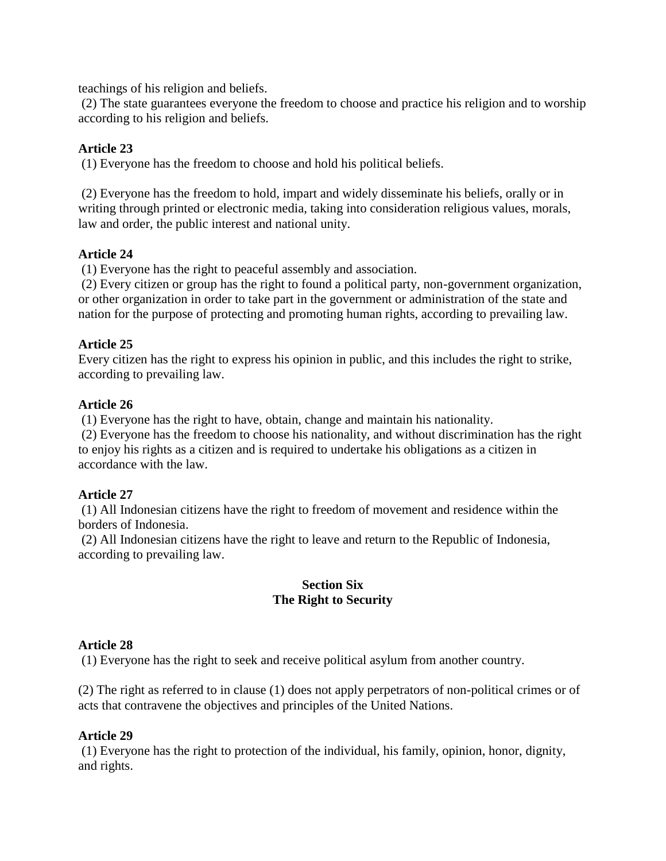teachings of his religion and beliefs.

(2) The state guarantees everyone the freedom to choose and practice his religion and to worship according to his religion and beliefs.

## **Article 23**

(1) Everyone has the freedom to choose and hold his political beliefs.

(2) Everyone has the freedom to hold, impart and widely disseminate his beliefs, orally or in writing through printed or electronic media, taking into consideration religious values, morals, law and order, the public interest and national unity.

### **Article 24**

(1) Everyone has the right to peaceful assembly and association.

(2) Every citizen or group has the right to found a political party, non-government organization, or other organization in order to take part in the government or administration of the state and nation for the purpose of protecting and promoting human rights, according to prevailing law.

## **Article 25**

Every citizen has the right to express his opinion in public, and this includes the right to strike, according to prevailing law.

### **Article 26**

(1) Everyone has the right to have, obtain, change and maintain his nationality.

(2) Everyone has the freedom to choose his nationality, and without discrimination has the right to enjoy his rights as a citizen and is required to undertake his obligations as a citizen in accordance with the law.

## **Article 27**

(1) All Indonesian citizens have the right to freedom of movement and residence within the borders of Indonesia.

(2) All Indonesian citizens have the right to leave and return to the Republic of Indonesia, according to prevailing law.

#### **Section Six The Right to Security**

## **Article 28**

(1) Everyone has the right to seek and receive political asylum from another country.

(2) The right as referred to in clause (1) does not apply perpetrators of non-political crimes or of acts that contravene the objectives and principles of the United Nations.

## **Article 29**

(1) Everyone has the right to protection of the individual, his family, opinion, honor, dignity, and rights.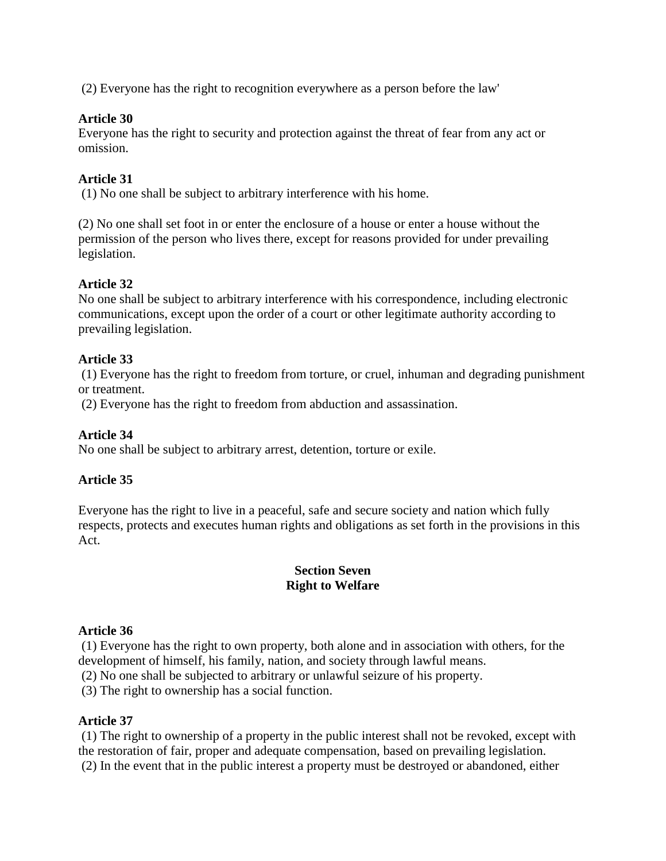(2) Everyone has the right to recognition everywhere as a person before the law'

### **Article 30**

Everyone has the right to security and protection against the threat of fear from any act or omission.

### **Article 31**

(1) No one shall be subject to arbitrary interference with his home.

(2) No one shall set foot in or enter the enclosure of a house or enter a house without the permission of the person who lives there, except for reasons provided for under prevailing legislation.

### **Article 32**

No one shall be subject to arbitrary interference with his correspondence, including electronic communications, except upon the order of a court or other legitimate authority according to prevailing legislation.

### **Article 33**

(1) Everyone has the right to freedom from torture, or cruel, inhuman and degrading punishment or treatment.

(2) Everyone has the right to freedom from abduction and assassination.

#### **Article 34**

No one shall be subject to arbitrary arrest, detention, torture or exile.

#### **Article 35**

Everyone has the right to live in a peaceful, safe and secure society and nation which fully respects, protects and executes human rights and obligations as set forth in the provisions in this Act.

#### **Section Seven Right to Welfare**

#### **Article 36**

(1) Everyone has the right to own property, both alone and in association with others, for the development of himself, his family, nation, and society through lawful means.

(2) No one shall be subjected to arbitrary or unlawful seizure of his property.

(3) The right to ownership has a social function.

#### **Article 37**

(1) The right to ownership of a property in the public interest shall not be revoked, except with the restoration of fair, proper and adequate compensation, based on prevailing legislation. (2) In the event that in the public interest a property must be destroyed or abandoned, either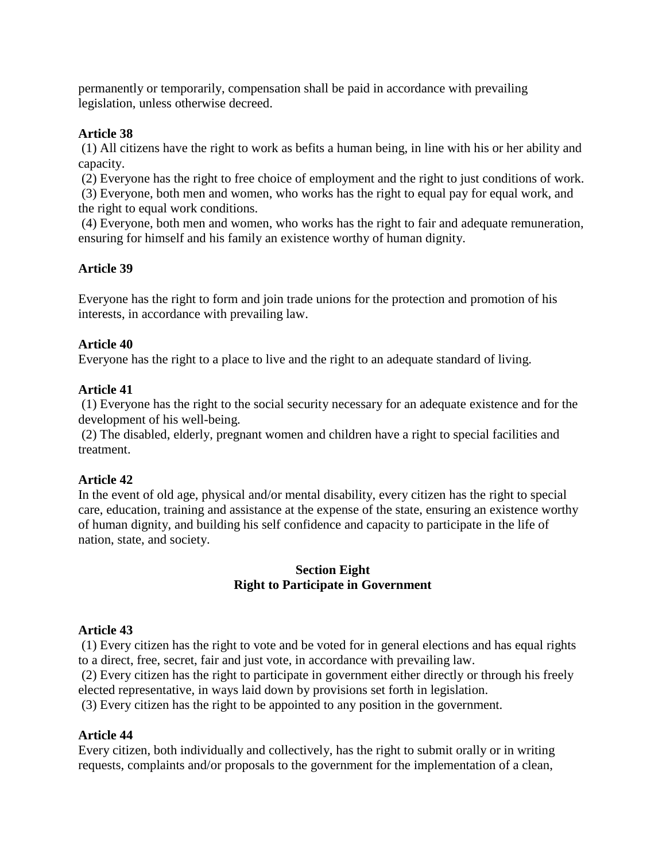permanently or temporarily, compensation shall be paid in accordance with prevailing legislation, unless otherwise decreed.

### **Article 38**

(1) All citizens have the right to work as befits a human being, in line with his or her ability and capacity.

(2) Everyone has the right to free choice of employment and the right to just conditions of work.

(3) Everyone, both men and women, who works has the right to equal pay for equal work, and the right to equal work conditions.

(4) Everyone, both men and women, who works has the right to fair and adequate remuneration, ensuring for himself and his family an existence worthy of human dignity.

### **Article 39**

Everyone has the right to form and join trade unions for the protection and promotion of his interests, in accordance with prevailing law.

#### **Article 40**

Everyone has the right to a place to live and the right to an adequate standard of living.

#### **Article 41**

(1) Everyone has the right to the social security necessary for an adequate existence and for the development of his well-being.

(2) The disabled, elderly, pregnant women and children have a right to special facilities and treatment.

#### **Article 42**

In the event of old age, physical and/or mental disability, every citizen has the right to special care, education, training and assistance at the expense of the state, ensuring an existence worthy of human dignity, and building his self confidence and capacity to participate in the life of nation, state, and society.

### **Section Eight Right to Participate in Government**

#### **Article 43**

(1) Every citizen has the right to vote and be voted for in general elections and has equal rights to a direct, free, secret, fair and just vote, in accordance with prevailing law.

(2) Every citizen has the right to participate in government either directly or through his freely elected representative, in ways laid down by provisions set forth in legislation.

(3) Every citizen has the right to be appointed to any position in the government.

#### **Article 44**

Every citizen, both individually and collectively, has the right to submit orally or in writing requests, complaints and/or proposals to the government for the implementation of a clean,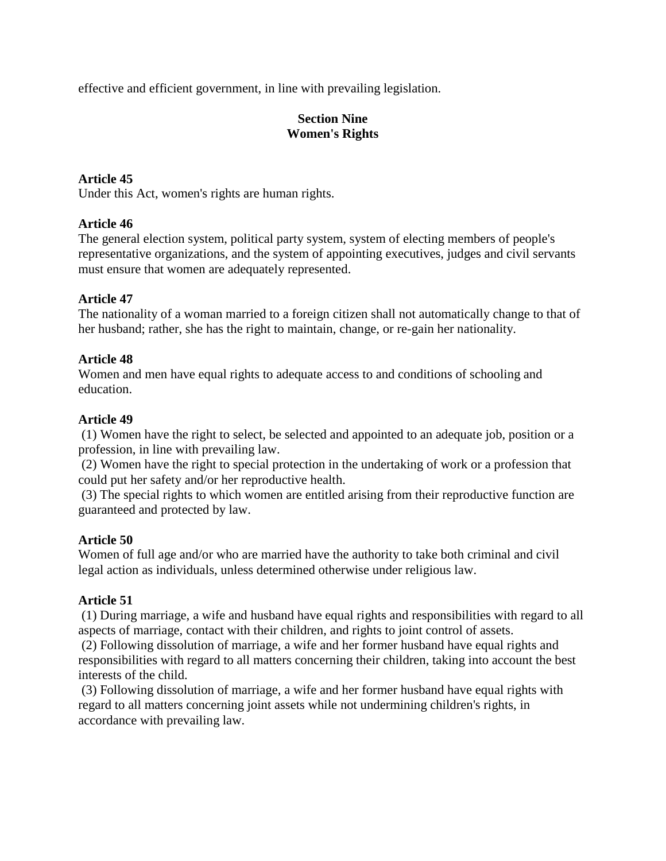effective and efficient government, in line with prevailing legislation.

## **Section Nine Women's Rights**

## **Article 45**

Under this Act, women's rights are human rights.

## **Article 46**

The general election system, political party system, system of electing members of people's representative organizations, and the system of appointing executives, judges and civil servants must ensure that women are adequately represented.

## **Article 47**

The nationality of a woman married to a foreign citizen shall not automatically change to that of her husband; rather, she has the right to maintain, change, or re-gain her nationality.

## **Article 48**

Women and men have equal rights to adequate access to and conditions of schooling and education.

## **Article 49**

(1) Women have the right to select, be selected and appointed to an adequate job, position or a profession, in line with prevailing law.

(2) Women have the right to special protection in the undertaking of work or a profession that could put her safety and/or her reproductive health.

(3) The special rights to which women are entitled arising from their reproductive function are guaranteed and protected by law.

## **Article 50**

Women of full age and/or who are married have the authority to take both criminal and civil legal action as individuals, unless determined otherwise under religious law.

# **Article 51**

(1) During marriage, a wife and husband have equal rights and responsibilities with regard to all aspects of marriage, contact with their children, and rights to joint control of assets.

(2) Following dissolution of marriage, a wife and her former husband have equal rights and responsibilities with regard to all matters concerning their children, taking into account the best interests of the child.

(3) Following dissolution of marriage, a wife and her former husband have equal rights with regard to all matters concerning joint assets while not undermining children's rights, in accordance with prevailing law.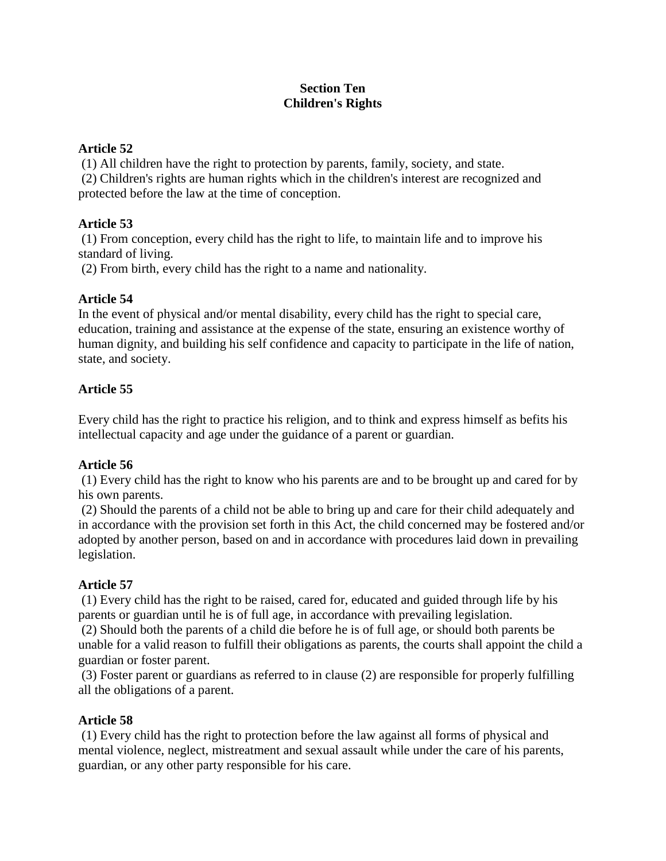## **Section Ten Children's Rights**

## **Article 52**

(1) All children have the right to protection by parents, family, society, and state. (2) Children's rights are human rights which in the children's interest are recognized and protected before the law at the time of conception.

# **Article 53**

(1) From conception, every child has the right to life, to maintain life and to improve his standard of living.

(2) From birth, every child has the right to a name and nationality.

## **Article 54**

In the event of physical and/or mental disability, every child has the right to special care, education, training and assistance at the expense of the state, ensuring an existence worthy of human dignity, and building his self confidence and capacity to participate in the life of nation, state, and society.

## **Article 55**

Every child has the right to practice his religion, and to think and express himself as befits his intellectual capacity and age under the guidance of a parent or guardian.

## **Article 56**

(1) Every child has the right to know who his parents are and to be brought up and cared for by his own parents.

(2) Should the parents of a child not be able to bring up and care for their child adequately and in accordance with the provision set forth in this Act, the child concerned may be fostered and/or adopted by another person, based on and in accordance with procedures laid down in prevailing legislation.

## **Article 57**

(1) Every child has the right to be raised, cared for, educated and guided through life by his parents or guardian until he is of full age, in accordance with prevailing legislation.

(2) Should both the parents of a child die before he is of full age, or should both parents be unable for a valid reason to fulfill their obligations as parents, the courts shall appoint the child a guardian or foster parent.

(3) Foster parent or guardians as referred to in clause (2) are responsible for properly fulfilling all the obligations of a parent.

## **Article 58**

(1) Every child has the right to protection before the law against all forms of physical and mental violence, neglect, mistreatment and sexual assault while under the care of his parents, guardian, or any other party responsible for his care.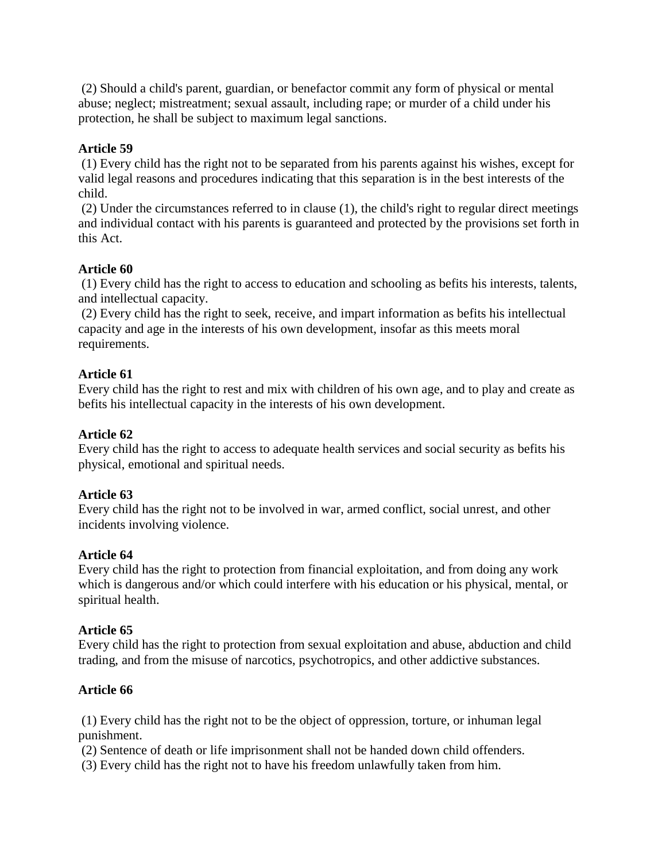(2) Should a child's parent, guardian, or benefactor commit any form of physical or mental abuse; neglect; mistreatment; sexual assault, including rape; or murder of a child under his protection, he shall be subject to maximum legal sanctions.

### **Article 59**

(1) Every child has the right not to be separated from his parents against his wishes, except for valid legal reasons and procedures indicating that this separation is in the best interests of the child.

(2) Under the circumstances referred to in clause (1), the child's right to regular direct meetings and individual contact with his parents is guaranteed and protected by the provisions set forth in this Act.

### **Article 60**

(1) Every child has the right to access to education and schooling as befits his interests, talents, and intellectual capacity.

(2) Every child has the right to seek, receive, and impart information as befits his intellectual capacity and age in the interests of his own development, insofar as this meets moral requirements.

### **Article 61**

Every child has the right to rest and mix with children of his own age, and to play and create as befits his intellectual capacity in the interests of his own development.

#### **Article 62**

Every child has the right to access to adequate health services and social security as befits his physical, emotional and spiritual needs.

#### **Article 63**

Every child has the right not to be involved in war, armed conflict, social unrest, and other incidents involving violence.

#### **Article 64**

Every child has the right to protection from financial exploitation, and from doing any work which is dangerous and/or which could interfere with his education or his physical, mental, or spiritual health.

#### **Article 65**

Every child has the right to protection from sexual exploitation and abuse, abduction and child trading, and from the misuse of narcotics, psychotropics, and other addictive substances.

## **Article 66**

(1) Every child has the right not to be the object of oppression, torture, or inhuman legal punishment.

(2) Sentence of death or life imprisonment shall not be handed down child offenders.

(3) Every child has the right not to have his freedom unlawfully taken from him.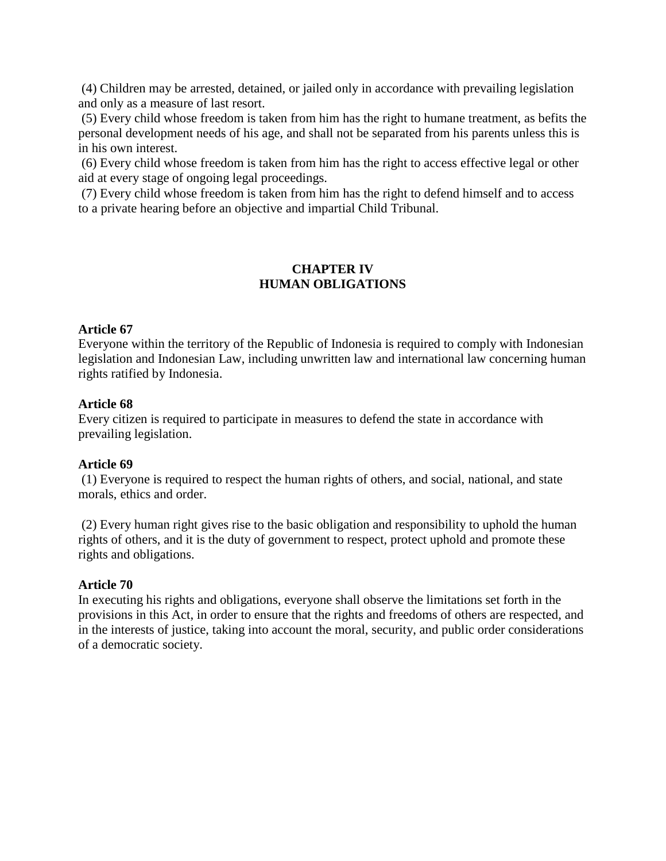(4) Children may be arrested, detained, or jailed only in accordance with prevailing legislation and only as a measure of last resort.

(5) Every child whose freedom is taken from him has the right to humane treatment, as befits the personal development needs of his age, and shall not be separated from his parents unless this is in his own interest.

(6) Every child whose freedom is taken from him has the right to access effective legal or other aid at every stage of ongoing legal proceedings.

(7) Every child whose freedom is taken from him has the right to defend himself and to access to a private hearing before an objective and impartial Child Tribunal.

## **CHAPTER IV HUMAN OBLIGATIONS**

#### **Article 67**

Everyone within the territory of the Republic of Indonesia is required to comply with Indonesian legislation and Indonesian Law, including unwritten law and international law concerning human rights ratified by Indonesia.

#### **Article 68**

Every citizen is required to participate in measures to defend the state in accordance with prevailing legislation.

#### **Article 69**

(1) Everyone is required to respect the human rights of others, and social, national, and state morals, ethics and order.

(2) Every human right gives rise to the basic obligation and responsibility to uphold the human rights of others, and it is the duty of government to respect, protect uphold and promote these rights and obligations.

#### **Article 70**

In executing his rights and obligations, everyone shall observe the limitations set forth in the provisions in this Act, in order to ensure that the rights and freedoms of others are respected, and in the interests of justice, taking into account the moral, security, and public order considerations of a democratic society.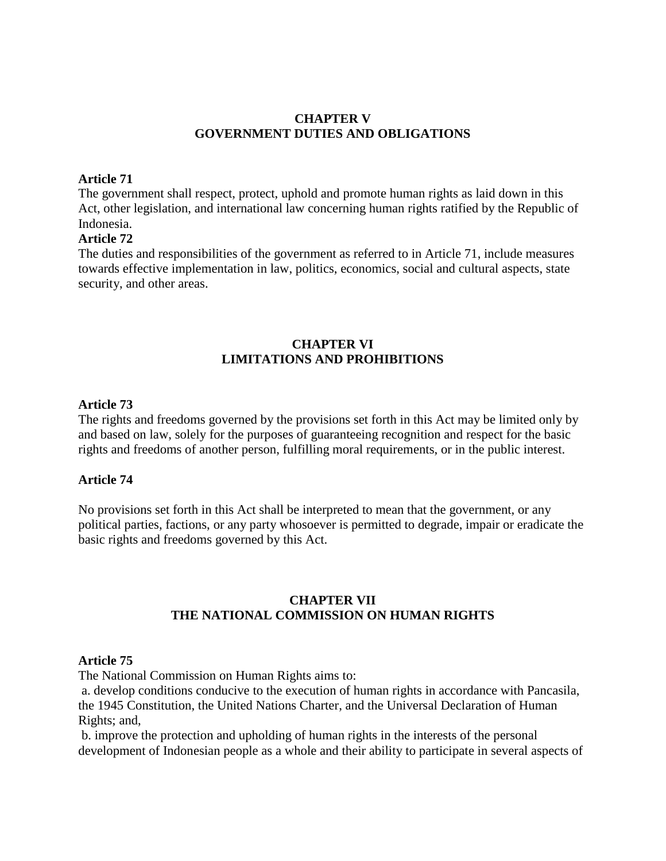#### **CHAPTER V GOVERNMENT DUTIES AND OBLIGATIONS**

#### **Article 71**

The government shall respect, protect, uphold and promote human rights as laid down in this Act, other legislation, and international law concerning human rights ratified by the Republic of Indonesia.

#### **Article 72**

The duties and responsibilities of the government as referred to in Article 71, include measures towards effective implementation in law, politics, economics, social and cultural aspects, state security, and other areas.

### **CHAPTER VI LIMITATIONS AND PROHIBITIONS**

#### **Article 73**

The rights and freedoms governed by the provisions set forth in this Act may be limited only by and based on law, solely for the purposes of guaranteeing recognition and respect for the basic rights and freedoms of another person, fulfilling moral requirements, or in the public interest.

#### **Article 74**

No provisions set forth in this Act shall be interpreted to mean that the government, or any political parties, factions, or any party whosoever is permitted to degrade, impair or eradicate the basic rights and freedoms governed by this Act.

#### **CHAPTER VII THE NATIONAL COMMISSION ON HUMAN RIGHTS**

#### **Article 75**

The National Commission on Human Rights aims to:

a. develop conditions conducive to the execution of human rights in accordance with Pancasila, the 1945 Constitution, the United Nations Charter, and the Universal Declaration of Human Rights; and,

b. improve the protection and upholding of human rights in the interests of the personal development of Indonesian people as a whole and their ability to participate in several aspects of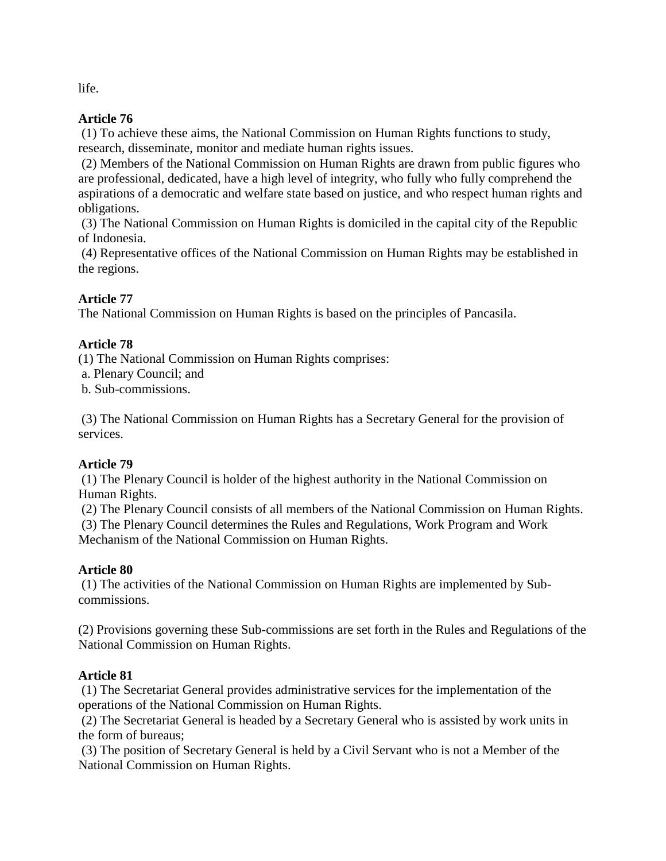life.

## **Article 76**

(1) To achieve these aims, the National Commission on Human Rights functions to study, research, disseminate, monitor and mediate human rights issues.

(2) Members of the National Commission on Human Rights are drawn from public figures who are professional, dedicated, have a high level of integrity, who fully who fully comprehend the aspirations of a democratic and welfare state based on justice, and who respect human rights and obligations.

(3) The National Commission on Human Rights is domiciled in the capital city of the Republic of Indonesia.

(4) Representative offices of the National Commission on Human Rights may be established in the regions.

# **Article 77**

The National Commission on Human Rights is based on the principles of Pancasila.

# **Article 78**

(1) The National Commission on Human Rights comprises:

a. Plenary Council; and

b. Sub-commissions.

(3) The National Commission on Human Rights has a Secretary General for the provision of services.

# **Article 79**

(1) The Plenary Council is holder of the highest authority in the National Commission on Human Rights.

(2) The Plenary Council consists of all members of the National Commission on Human Rights. (3) The Plenary Council determines the Rules and Regulations, Work Program and Work Mechanism of the National Commission on Human Rights.

# **Article 80**

(1) The activities of the National Commission on Human Rights are implemented by Subcommissions.

(2) Provisions governing these Sub-commissions are set forth in the Rules and Regulations of the National Commission on Human Rights.

# **Article 81**

(1) The Secretariat General provides administrative services for the implementation of the operations of the National Commission on Human Rights.

(2) The Secretariat General is headed by a Secretary General who is assisted by work units in the form of bureaus;

(3) The position of Secretary General is held by a Civil Servant who is not a Member of the National Commission on Human Rights.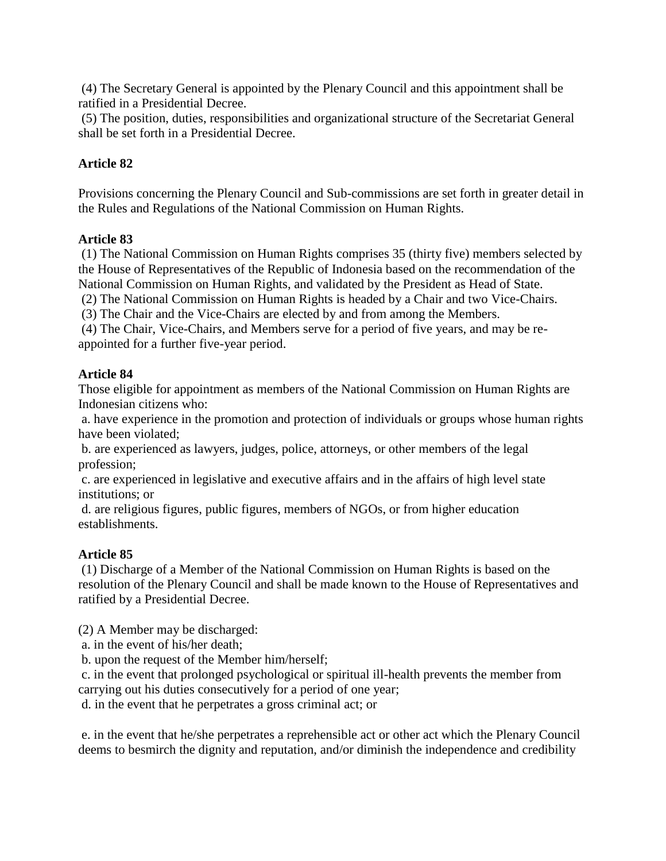(4) The Secretary General is appointed by the Plenary Council and this appointment shall be ratified in a Presidential Decree.

(5) The position, duties, responsibilities and organizational structure of the Secretariat General shall be set forth in a Presidential Decree.

## **Article 82**

Provisions concerning the Plenary Council and Sub-commissions are set forth in greater detail in the Rules and Regulations of the National Commission on Human Rights.

### **Article 83**

(1) The National Commission on Human Rights comprises 35 (thirty five) members selected by the House of Representatives of the Republic of Indonesia based on the recommendation of the National Commission on Human Rights, and validated by the President as Head of State.

(2) The National Commission on Human Rights is headed by a Chair and two Vice-Chairs.

(3) The Chair and the Vice-Chairs are elected by and from among the Members.

(4) The Chair, Vice-Chairs, and Members serve for a period of five years, and may be reappointed for a further five-year period.

### **Article 84**

Those eligible for appointment as members of the National Commission on Human Rights are Indonesian citizens who:

a. have experience in the promotion and protection of individuals or groups whose human rights have been violated;

b. are experienced as lawyers, judges, police, attorneys, or other members of the legal profession;

c. are experienced in legislative and executive affairs and in the affairs of high level state institutions; or

d. are religious figures, public figures, members of NGOs, or from higher education establishments.

## **Article 85**

(1) Discharge of a Member of the National Commission on Human Rights is based on the resolution of the Plenary Council and shall be made known to the House of Representatives and ratified by a Presidential Decree.

(2) A Member may be discharged:

a. in the event of his/her death;

b. upon the request of the Member him/herself;

c. in the event that prolonged psychological or spiritual ill-health prevents the member from carrying out his duties consecutively for a period of one year;

d. in the event that he perpetrates a gross criminal act; or

e. in the event that he/she perpetrates a reprehensible act or other act which the Plenary Council deems to besmirch the dignity and reputation, and/or diminish the independence and credibility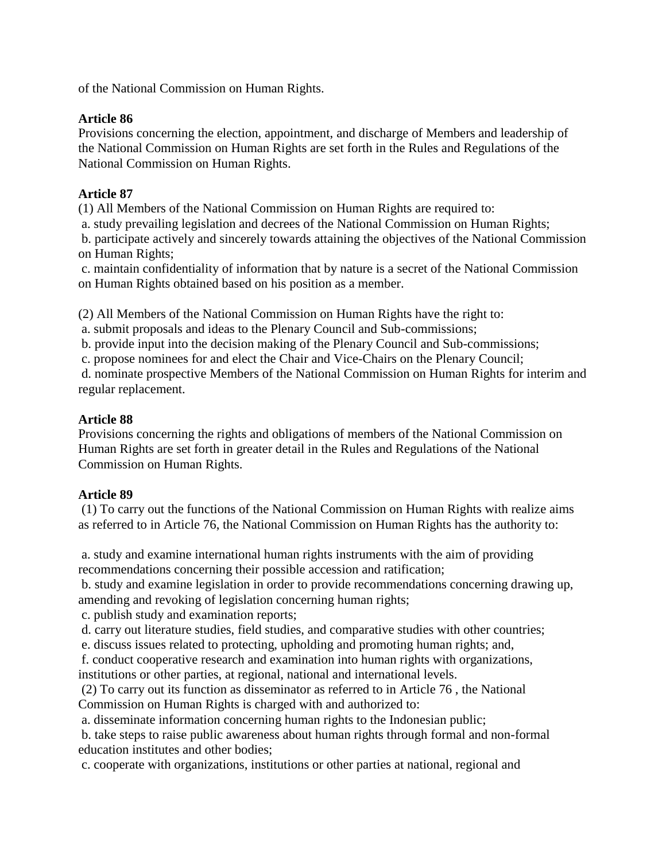of the National Commission on Human Rights.

### **Article 86**

Provisions concerning the election, appointment, and discharge of Members and leadership of the National Commission on Human Rights are set forth in the Rules and Regulations of the National Commission on Human Rights.

## **Article 87**

(1) All Members of the National Commission on Human Rights are required to:

a. study prevailing legislation and decrees of the National Commission on Human Rights;

b. participate actively and sincerely towards attaining the objectives of the National Commission on Human Rights;

c. maintain confidentiality of information that by nature is a secret of the National Commission on Human Rights obtained based on his position as a member.

(2) All Members of the National Commission on Human Rights have the right to:

a. submit proposals and ideas to the Plenary Council and Sub-commissions;

b. provide input into the decision making of the Plenary Council and Sub-commissions;

c. propose nominees for and elect the Chair and Vice-Chairs on the Plenary Council;

d. nominate prospective Members of the National Commission on Human Rights for interim and regular replacement.

## **Article 88**

Provisions concerning the rights and obligations of members of the National Commission on Human Rights are set forth in greater detail in the Rules and Regulations of the National Commission on Human Rights.

## **Article 89**

(1) To carry out the functions of the National Commission on Human Rights with realize aims as referred to in Article 76, the National Commission on Human Rights has the authority to:

a. study and examine international human rights instruments with the aim of providing recommendations concerning their possible accession and ratification;

b. study and examine legislation in order to provide recommendations concerning drawing up, amending and revoking of legislation concerning human rights;

c. publish study and examination reports;

d. carry out literature studies, field studies, and comparative studies with other countries;

e. discuss issues related to protecting, upholding and promoting human rights; and,

f. conduct cooperative research and examination into human rights with organizations, institutions or other parties, at regional, national and international levels.

(2) To carry out its function as disseminator as referred to in Article 76 , the National Commission on Human Rights is charged with and authorized to:

a. disseminate information concerning human rights to the Indonesian public;

b. take steps to raise public awareness about human rights through formal and non-formal education institutes and other bodies;

c. cooperate with organizations, institutions or other parties at national, regional and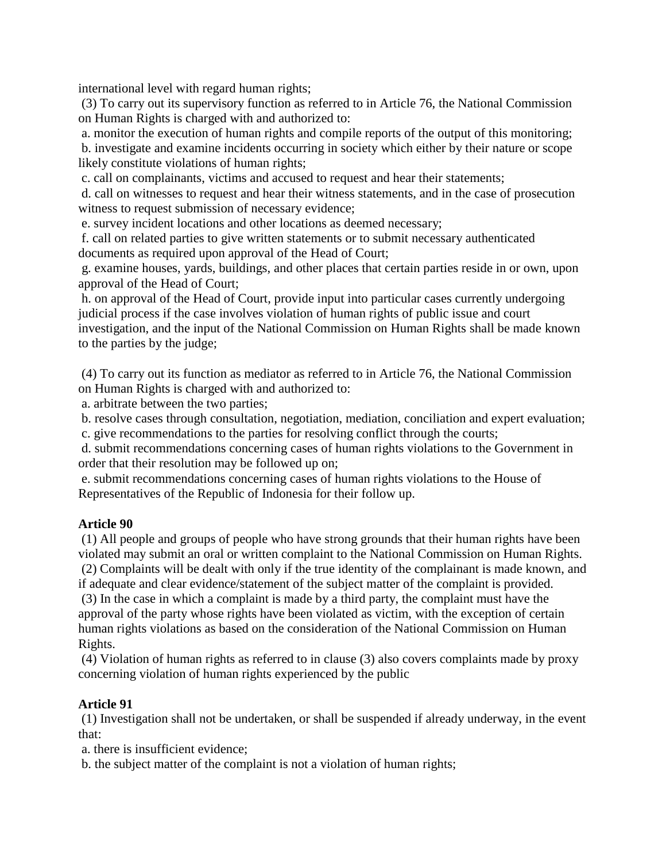international level with regard human rights;

(3) To carry out its supervisory function as referred to in Article 76, the National Commission on Human Rights is charged with and authorized to:

a. monitor the execution of human rights and compile reports of the output of this monitoring;

b. investigate and examine incidents occurring in society which either by their nature or scope likely constitute violations of human rights;

c. call on complainants, victims and accused to request and hear their statements;

d. call on witnesses to request and hear their witness statements, and in the case of prosecution witness to request submission of necessary evidence;

e. survey incident locations and other locations as deemed necessary;

f. call on related parties to give written statements or to submit necessary authenticated documents as required upon approval of the Head of Court;

g. examine houses, yards, buildings, and other places that certain parties reside in or own, upon approval of the Head of Court;

h. on approval of the Head of Court, provide input into particular cases currently undergoing judicial process if the case involves violation of human rights of public issue and court investigation, and the input of the National Commission on Human Rights shall be made known to the parties by the judge;

(4) To carry out its function as mediator as referred to in Article 76, the National Commission on Human Rights is charged with and authorized to:

a. arbitrate between the two parties;

b. resolve cases through consultation, negotiation, mediation, conciliation and expert evaluation;

c. give recommendations to the parties for resolving conflict through the courts;

d. submit recommendations concerning cases of human rights violations to the Government in order that their resolution may be followed up on;

e. submit recommendations concerning cases of human rights violations to the House of Representatives of the Republic of Indonesia for their follow up.

## **Article 90**

(1) All people and groups of people who have strong grounds that their human rights have been violated may submit an oral or written complaint to the National Commission on Human Rights. (2) Complaints will be dealt with only if the true identity of the complainant is made known, and if adequate and clear evidence/statement of the subject matter of the complaint is provided.

(3) In the case in which a complaint is made by a third party, the complaint must have the approval of the party whose rights have been violated as victim, with the exception of certain human rights violations as based on the consideration of the National Commission on Human Rights.

(4) Violation of human rights as referred to in clause (3) also covers complaints made by proxy concerning violation of human rights experienced by the public

## **Article 91**

(1) Investigation shall not be undertaken, or shall be suspended if already underway, in the event that:

a. there is insufficient evidence;

b. the subject matter of the complaint is not a violation of human rights;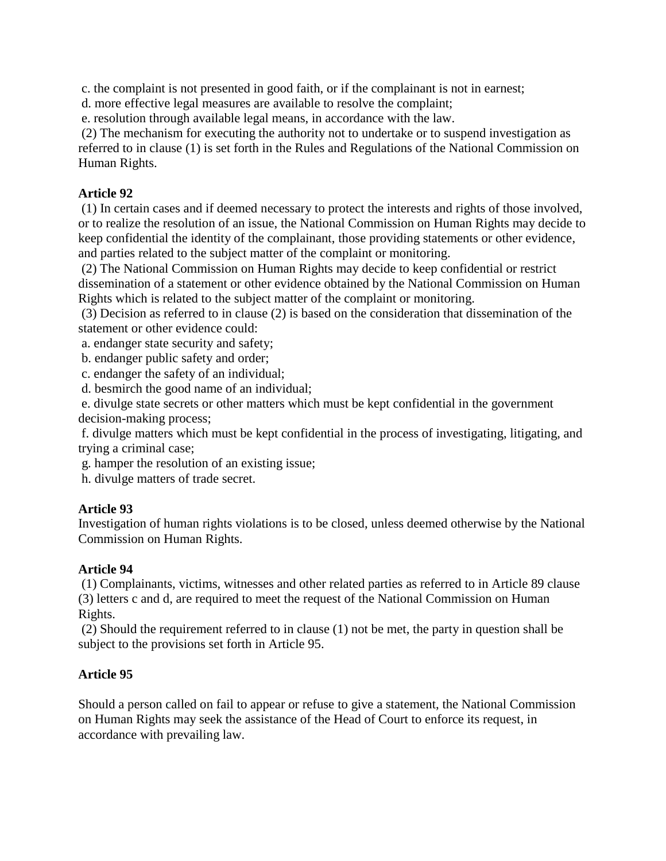c. the complaint is not presented in good faith, or if the complainant is not in earnest;

d. more effective legal measures are available to resolve the complaint;

e. resolution through available legal means, in accordance with the law.

(2) The mechanism for executing the authority not to undertake or to suspend investigation as referred to in clause (1) is set forth in the Rules and Regulations of the National Commission on Human Rights.

## **Article 92**

(1) In certain cases and if deemed necessary to protect the interests and rights of those involved, or to realize the resolution of an issue, the National Commission on Human Rights may decide to keep confidential the identity of the complainant, those providing statements or other evidence, and parties related to the subject matter of the complaint or monitoring.

(2) The National Commission on Human Rights may decide to keep confidential or restrict dissemination of a statement or other evidence obtained by the National Commission on Human Rights which is related to the subject matter of the complaint or monitoring.

(3) Decision as referred to in clause (2) is based on the consideration that dissemination of the statement or other evidence could:

a. endanger state security and safety;

b. endanger public safety and order;

c. endanger the safety of an individual;

d. besmirch the good name of an individual;

e. divulge state secrets or other matters which must be kept confidential in the government decision-making process;

f. divulge matters which must be kept confidential in the process of investigating, litigating, and trying a criminal case;

g. hamper the resolution of an existing issue;

h. divulge matters of trade secret.

## **Article 93**

Investigation of human rights violations is to be closed, unless deemed otherwise by the National Commission on Human Rights.

# **Article 94**

(1) Complainants, victims, witnesses and other related parties as referred to in Article 89 clause (3) letters c and d, are required to meet the request of the National Commission on Human Rights.

(2) Should the requirement referred to in clause (1) not be met, the party in question shall be subject to the provisions set forth in Article 95.

# **Article 95**

Should a person called on fail to appear or refuse to give a statement, the National Commission on Human Rights may seek the assistance of the Head of Court to enforce its request, in accordance with prevailing law.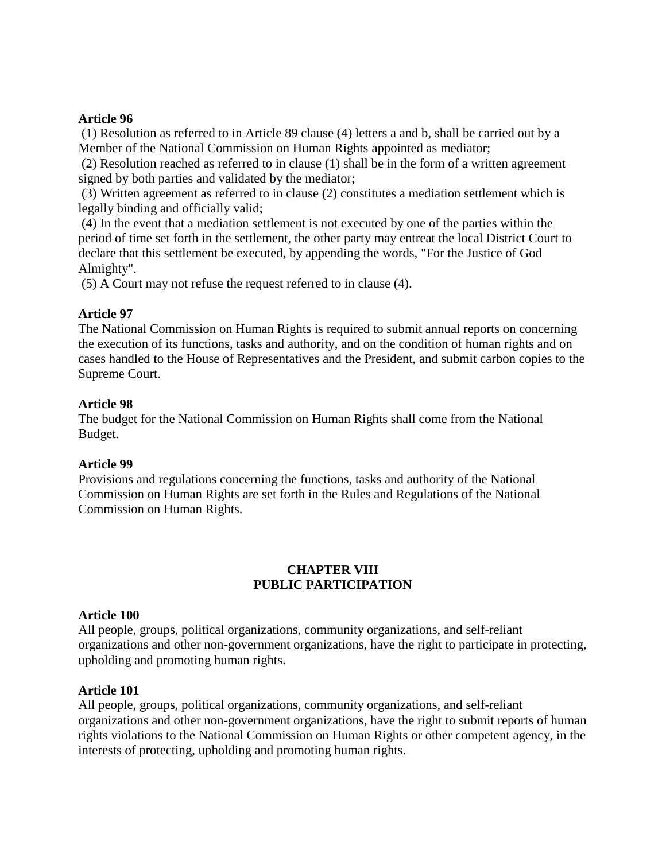#### **Article 96**

(1) Resolution as referred to in Article 89 clause (4) letters a and b, shall be carried out by a Member of the National Commission on Human Rights appointed as mediator;

(2) Resolution reached as referred to in clause (1) shall be in the form of a written agreement signed by both parties and validated by the mediator;

(3) Written agreement as referred to in clause (2) constitutes a mediation settlement which is legally binding and officially valid;

(4) In the event that a mediation settlement is not executed by one of the parties within the period of time set forth in the settlement, the other party may entreat the local District Court to declare that this settlement be executed, by appending the words, "For the Justice of God Almighty".

(5) A Court may not refuse the request referred to in clause (4).

### **Article 97**

The National Commission on Human Rights is required to submit annual reports on concerning the execution of its functions, tasks and authority, and on the condition of human rights and on cases handled to the House of Representatives and the President, and submit carbon copies to the Supreme Court.

#### **Article 98**

The budget for the National Commission on Human Rights shall come from the National Budget.

#### **Article 99**

Provisions and regulations concerning the functions, tasks and authority of the National Commission on Human Rights are set forth in the Rules and Regulations of the National Commission on Human Rights.

## **CHAPTER VIII PUBLIC PARTICIPATION**

#### **Article 100**

All people, groups, political organizations, community organizations, and self-reliant organizations and other non-government organizations, have the right to participate in protecting, upholding and promoting human rights.

#### **Article 101**

All people, groups, political organizations, community organizations, and self-reliant organizations and other non-government organizations, have the right to submit reports of human rights violations to the National Commission on Human Rights or other competent agency, in the interests of protecting, upholding and promoting human rights.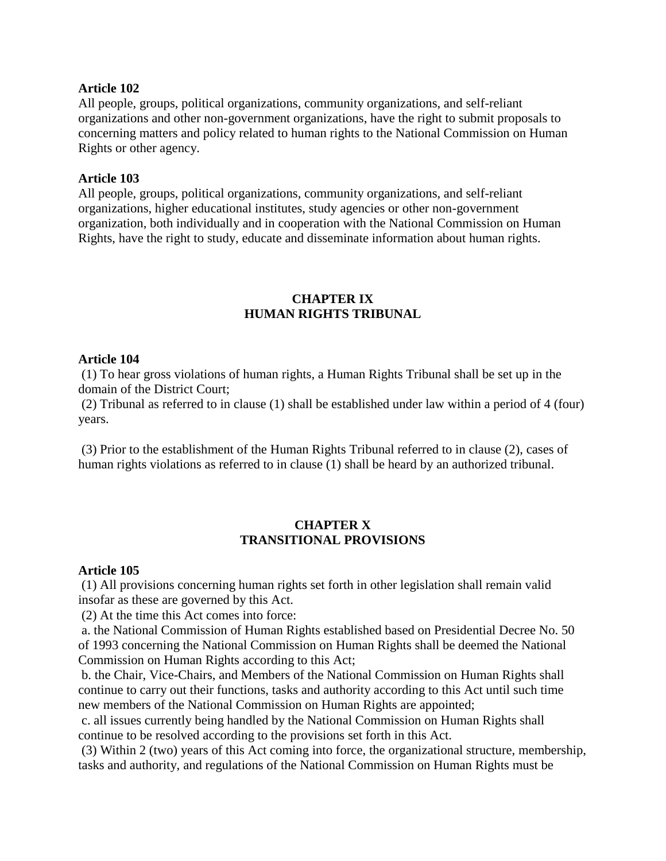#### **Article 102**

All people, groups, political organizations, community organizations, and self-reliant organizations and other non-government organizations, have the right to submit proposals to concerning matters and policy related to human rights to the National Commission on Human Rights or other agency.

#### **Article 103**

All people, groups, political organizations, community organizations, and self-reliant organizations, higher educational institutes, study agencies or other non-government organization, both individually and in cooperation with the National Commission on Human Rights, have the right to study, educate and disseminate information about human rights.

#### **CHAPTER IX HUMAN RIGHTS TRIBUNAL**

#### **Article 104**

(1) To hear gross violations of human rights, a Human Rights Tribunal shall be set up in the domain of the District Court;

(2) Tribunal as referred to in clause (1) shall be established under law within a period of 4 (four) years.

(3) Prior to the establishment of the Human Rights Tribunal referred to in clause (2), cases of human rights violations as referred to in clause (1) shall be heard by an authorized tribunal.

### **CHAPTER X TRANSITIONAL PROVISIONS**

#### **Article 105**

(1) All provisions concerning human rights set forth in other legislation shall remain valid insofar as these are governed by this Act.

(2) At the time this Act comes into force:

a. the National Commission of Human Rights established based on Presidential Decree No. 50 of 1993 concerning the National Commission on Human Rights shall be deemed the National Commission on Human Rights according to this Act;

b. the Chair, Vice-Chairs, and Members of the National Commission on Human Rights shall continue to carry out their functions, tasks and authority according to this Act until such time new members of the National Commission on Human Rights are appointed;

c. all issues currently being handled by the National Commission on Human Rights shall continue to be resolved according to the provisions set forth in this Act.

(3) Within 2 (two) years of this Act coming into force, the organizational structure, membership, tasks and authority, and regulations of the National Commission on Human Rights must be